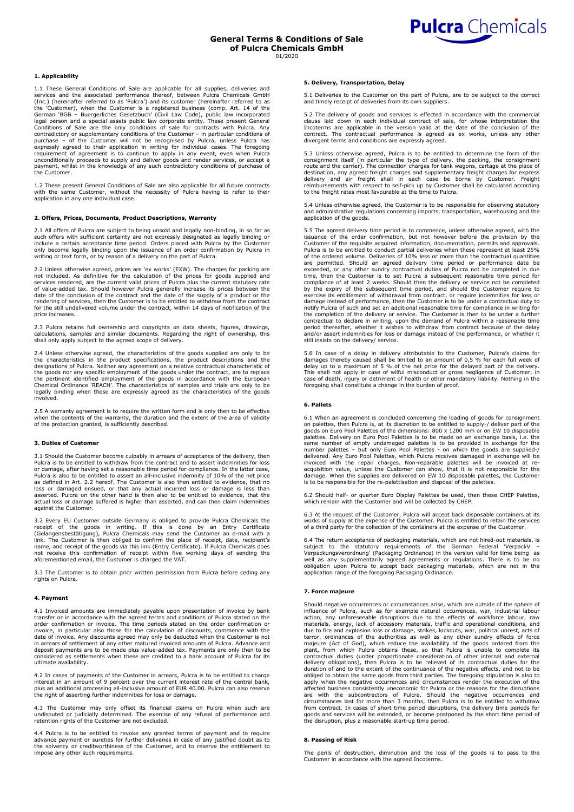

# **1. Applicability**

1.1 These General Conditions of Sale are applicable for all supplies, deliveries and services and the associated performance thereof, between Pulcra Chemicals GmbH (Inc.) (hereinafter referred to as 'Pulcra') and its customer (hereinafter referred to as<br>the 'Customer), when the Customer is a rejectived business (comp. Art. 14 of the<br>German 'BGB – Buergerliches Gesetzbuch' (Civil Law requirement of agreement is to continue to apply in any event, even when Pulcra unconditionally proceeds to supply and deliver goods and render services, or accept a payment, whilst in the knowledge of any such contradictory conditions of purchase of the Customer.

1.2 These present General Conditions of Sale are also applicable for all future contracts with the same Customer, without the necessity of Pulcra having to refer to their application in any one individual case.

#### **2. Offers, Prices, Documents, Product Descriptions, Warrenty**

2.1 All offers of Pulcra are subject to being unsold and legally non-binding, in so far as such offers with sufficient certainty are not expressly designated as legally binding or include a certain acceptance time period. Orders placed with Pulcra by the Customer only become legally binding upon the issuance of an order confirmation by Pulcra in writing or text form, or by reason of a delivery on the part of Pulcra.

2.2 Unless otherwise agreed, prices are 'ex works' (EXW). The charges for packing are not included. As definitive for the calculation of the prices for goods supplied and services rendered, are the current valid prices of Pulcra plus the current statutory rate of value-added tax. Should however Pulcra generally increase its prices between the date of the conclusion of the contract and the date of the supply of a product or the rendering of services, then the Customer is to be entitled to withdraw from the contract for the still undelivered volume under the contract, within 14 days of notification of the price increases.

2.3 Pulcra retains full ownership and copyrights on data sheets, figures, drawings,<br>calculations, samples and similar documents. Regarding the right of ownership, this<br>shall only apply subject to the agreed scope of delive

2.4 Unless otherwise agreed, the characteristics of the goods supplied are only to be the characteristics in the product specifications, the product descriptions and the designations of Pulcra. Neither any agreement on a relative contractual characteristic of the goods nor any specific employment of the goods under the contract, are to replace the pertinent identified employment of the goods in accordance with the European Chemical Ordinance 'REACH'. The characteristics of samples and trials are only to be legally binding when these are expressly agreed as the characteristics of the goods involved.

2.5 A warranty agreement is to require the written form and is only then to be effective<br>when the contents of the warranty, the duration and the extent of the area of validity<br>of the protection granted, is sufficiently des

# **3. Duties of Customer**

3.1 Should the Customer become culpably in arrears of acceptance of the delivery, then Pulcra is to be entitled to withdraw from the contract and to assert indemnities for loss or damage, after having set a reasonable time period for compliance. In the latter case, Pulcra is also to be entitled to assert an all-inclusive indemnity of 10% of the net price as defined in Art. 2.2 hereof. The Customer is also then entitled to evidence, that no loss or damaged ensued, or that any actual incurred loss or damage is less than<br>asserted. Pulcra on the other hand is then also to be entitled to evidence, that the<br>actual loss or damage suffered is higher than asserted, a against the Customer.

3.2 Every EU Customer outside Germany is obliged to provide Pulcra Chemicals the<br>receipt of the goods in writing. If this is done by an Entry Certificate<br>(Gelangensbestätigung), Pulcra Chemicals may send the C link. The Customer is then obliged to confirm the place of receipt, date, recipient's name, and receipt of the goods via this link (Entry Certificate). If Pulcra Chemicals does not receive this confirmation of receipt within five working days of sending the aforementioned email, the Customer is charged the VAT.

3.3 The Customer is to obtain prior written permission from Pulcra before ceding any rights on Pulcra.

# **4. Payment**

4.1 Invoiced amounts are immediately payable upon presentation of invoice by bank transfer or in accordance with the agreed terms and conditions of Pulcra stated on the order confirmation or invoice. The time periods stated on the order confirmation or invoice, in particular also those for the calculation of discounts, commence with the date of invoice. Any discounts agreed may only be deducted when the Customer is not in arrears of settlement of any other matured invoiced amounts of Pulcra. Advance and deposit payments are to be made plus value-added tax. Payments are only then to be considered as settlements when these are credited to a bank account of Pulcra for its ultimate availability.

4.2 In cases of payments of the Customer in arrears, Pulcra is to be entitled to charge<br>interest in an amount of 9 percent over the current interest rate of the central bank,<br>plus an additional processing all-inclusive amo

4.3 The Customer may only offset its financial claims on Pulcra when such are undisputed or judicially determined. The exercise of any refusal of performance and retention rights of the Customer are not excluded.

4.4 Pulcra is to be entitled to revoke any granted terms of payment and to require advance payment or sureties for further deliveries in case of any justified doubt as to the solvency or creditworthiness of the Customer, and to reserve the entitlement to impose any other such requirements.

### **5. Delivery, Transportation, Delay**

5.1 Deliveries to the Customer on the part of Pulcra, are to be subject to the correct and timely receipt of deliveries from its own suppliers.

5.2 The delivery of goods and services is effected in accordance with the commercial clause laid down in each individual contract of sale, for whose interpretation the Incoterms are applicable in the version valid at the date of the conclusion of the contract. The contractual performance is agreed as ex wo

5.3 Unless otherwise agreed, Pulcra is to be entitled to determine the form of the consignment itself (in particular the type of delivery, the packing, the consignment route and the carrier). The connection charges for tan delivery and air freight shall in each case be borne by Customer. Freight reimbursements with respect to self-pick up by Customer shall be calculated according to the freight rates most favourable at the time to Pulcra.

5.4 Unless otherwise agreed, the Customer is to be responsible for observing statutory and administrative regulations concerning imports, transportation, warehousing and the application of the goods.

5.5 The agreed delivery time period is to commence, unless otherwise agreed, with the issuance of the order confirmation, but not however before the provision by the Customer of the requisite acquired information, documentation, permits and approvals. Pulcra is to be entitled to conduct partial deliveries when these represent at least 25%<br>of the ordered volume. Deliveries of 10% less or more than the contractual quantities<br>are permitted. Should an agreed delivery time p time, then the Customer is to set Pulcra a subsequent reasonable time period for compliance of at least 2 weeks. Should then the delivery or service not be completed by the expiry of the subsequent time period, and should the Customer require to exercise its entitlement of withdrawal from contract, or require indemnities for loss or damage instead of performance, then the Customer is to be under a contractual duty to notify Pulcra of such and set an additional reasonable time for compliance in writing for the completion of the delivery or service. The Customer is then to be under a further contractual to declare in writing, upon the demand of Pulcra within a reasonable time period thereafter, whether it wishes to withdraw from contract because of the delay and/or assert indemnities for loss or damage instead of the performance, or whether it still insists on the delivery/ service.

5.6 In case of a delay in delivery attributable to the Customer, Pulcra's claims for damages thereby caused shall be limited to an amount of 0,5 % for each full week of delay up to a maximum of 5 % of the net price for the delayed part of the delivery. This shall not apply in case of wilful misconduct or gross negligence of Customer, in case of death, injury or detriment of health or other mandatory liability. Nothing in the foregoing shall constitute a change in the burden of proof.

# **6. Pallets**

6.1 When an agreement is concluded concerning the loading of goods for consignment on palettes, then Pulcra is, at its discretion to be entitled to supply-/ deliver part of the goods on Euro Pool Palettes of the dimensions: 800 x 1200 mm or on EW 10 disposable palettes. Delivery on Euro Pool Palettes is to be made on an exchange basis, i.e. the<br>same number of empty undamaged palettes is to be provided in exchange for the<br>number palettes – but only Euro Pool Palettes - on which t delivered. Any Euro Pool Palettes, which Pulcra receives damaged in exchange will be<br>invoiced with the repair charges. Non-reparable palettes will be invoiced at re-<br>acquisition value, unless the Customer can show, that it damage. When the supplies are delivered on EW 10 disposable palettes, the Customer is to be responsible for the re-palettisation and disposal of the palettes.

6.2 Should half- or quarter Euro Display Palettes be used, then these CHEP Palettes, which remain with the Customer and will be collected by CHEP.

6.3 At the request of the Customer, Pulcra will accept back disposable containers at its works of supply at the expense of the Customer. Pulcra is entitled to retain the services of a third party for the collection of the containers at the expense of the Customer.

6.4 The return acceptance of packaging materials, which are not hired-out materials, is<br>subject to the statutory requirements of the German Federal 'VerpackV –<br>Verpackungsverordnung' (Packaging Ordinance) in the version va well as any supplementarily agreed agreements or regulations. There is to be no obligation upon Pulcra to accept back packaging materials, which are not in the application range of the foregoing Packaging Ordinance.

## **7. Force majeure**

Should negative occurrences or circumstances arise, which are outside of the sphere of influence of Pulcra, such as for example natural occurrences, war, industrial labour action, any unforeseeable disruptions due to the effects of workforce labour, raw materials, energy, lack of accessory materials, traffic and operational conditions, and due to fire and explosion loss or damage, strikes, lockouts, war, political unrest, acts of terror, ordinances of the authorities as well as any other sundry effects of force<br>majeure (Act of God), which reduce the availability of the goods ordered from the<br>plant, from which Pulcra obtains these, so that Pulcra is delivery obligations), then Pulcra is to be relieved of its contractual duties for the duration of and to the extent of the continuance of the negative effects, and not to be obliged to obtain the same goods from third parties. The foregoing stipulation is also to apply when the negative occurrences and circumstances render the execution of the affected business consistently uneconomic for Pulcra or the reasons for the disruptions are with the subcontractors of Pulcra. Should the negative occurrences and circumstances last for more than 3 months, then Pulcra is to be entitled to withdraw from contract. In cases of short time period disruptions, the delivery time periods for goods and services will be extended, or become postponed by the short time period of the disruption, plus a reasonable start-up time period.

#### **8. Passing of Risk**

The perils of destruction, diminution and the loss of the goods is to pass to the Customer in accordance with the agreed Incoterms.